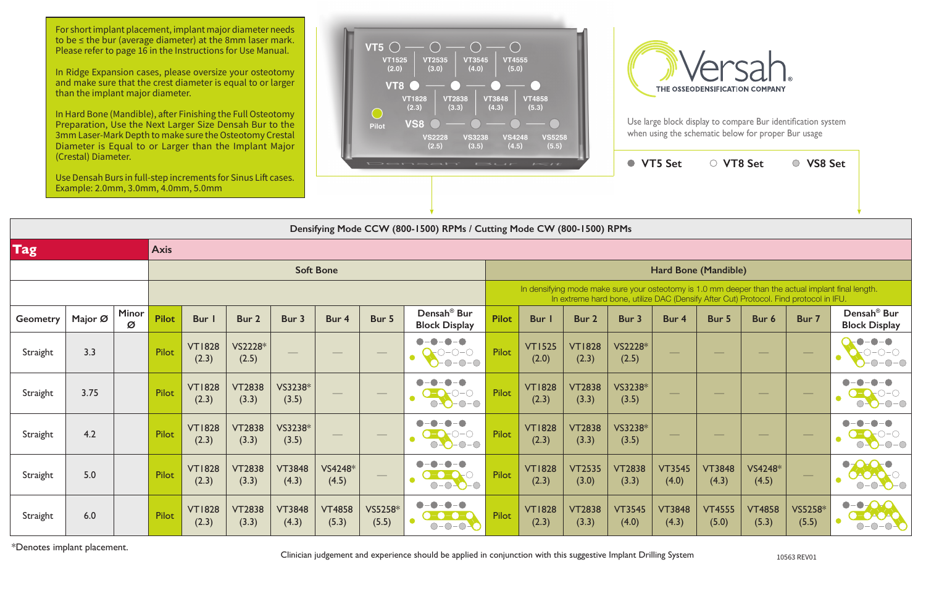**VT5 Set VT8 Set VS8 Set**

|                    | Ose Densan Durs in functory increments for Sinus Enclases.<br>Example: 2.0mm, 3.0mm, 4.0mm, 5.0mm |                   |              |                        |                        |                        |                        |                  |                                                                                  |              |                                                                                                                                                                                             |                        |                        |                        |                        |                        |                  |                                                                       |  |  |
|--------------------|---------------------------------------------------------------------------------------------------|-------------------|--------------|------------------------|------------------------|------------------------|------------------------|------------------|----------------------------------------------------------------------------------|--------------|---------------------------------------------------------------------------------------------------------------------------------------------------------------------------------------------|------------------------|------------------------|------------------------|------------------------|------------------------|------------------|-----------------------------------------------------------------------|--|--|
|                    |                                                                                                   |                   |              |                        |                        |                        |                        |                  |                                                                                  |              |                                                                                                                                                                                             |                        |                        |                        |                        |                        |                  |                                                                       |  |  |
|                    | Densifying Mode CCW (800-1500) RPMs / Cutting Mode CW (800-1500) RPMs                             |                   |              |                        |                        |                        |                        |                  |                                                                                  |              |                                                                                                                                                                                             |                        |                        |                        |                        |                        |                  |                                                                       |  |  |
| Tag<br><b>Axis</b> |                                                                                                   |                   |              |                        |                        |                        |                        |                  |                                                                                  |              |                                                                                                                                                                                             |                        |                        |                        |                        |                        |                  |                                                                       |  |  |
|                    |                                                                                                   |                   |              |                        |                        |                        | <b>Soft Bone</b>       |                  |                                                                                  |              |                                                                                                                                                                                             |                        |                        |                        | Hard Bone (Mandible)   |                        |                  |                                                                       |  |  |
|                    |                                                                                                   |                   |              |                        |                        |                        |                        |                  |                                                                                  |              | In densifying mode make sure your osteotomy is 1.0 mm deeper than the actual implant final length.<br>In extreme hard bone, utilize DAC (Densify After Cut) Protocol. Find protocol in IFU. |                        |                        |                        |                        |                        |                  |                                                                       |  |  |
| <b>Geometry</b>    | Major Ø                                                                                           | <b>Minor</b><br>Ø | <b>Pilot</b> | Bur I                  | Bur 2                  | Bur 3                  | Bur 4                  | Bur 5            | Densah <sup>®</sup> Bur<br><b>Block Display</b>                                  | <b>Pilot</b> | <b>Bur</b> I                                                                                                                                                                                | Bur 2                  | Bur 3                  | Bur 4                  | Bur 5                  | Bur 6                  | Bur 7            | Densah <sup>®</sup> Bur<br><b>Block Display</b>                       |  |  |
| Straight           | 3.3                                                                                               |                   | Pilot        | <b>VT1828</b><br>(2.3) | VS2228*<br>(2.5)       |                        |                        |                  | O-O-O<br>O<br>$-0-0-0$                                                           | Pilot        | <b>VT1525</b><br>(2.0)                                                                                                                                                                      | <b>VT1828</b><br>(2.3) | VS2228*<br>(2.5)       |                        |                        |                        |                  | O<br>$O-O-O$                                                          |  |  |
| Straight           | 3.75                                                                                              |                   | Pilot        | <b>VT1828</b><br>(2.3) | <b>VT2838</b><br>(3.3) | VS3238*<br>(3.5)       |                        |                  | $O-O-O-O$                                                                        | Pilot        | <b>VT1828</b><br>(2.3)                                                                                                                                                                      | <b>VT2838</b><br>(3.3) | VS3238*<br>(3.5)       |                        |                        |                        |                  | $\bigcap$ .                                                           |  |  |
| Straight           | 4.2                                                                                               |                   | Pilot        | <b>VT1828</b><br>(2.3) | <b>VT2838</b><br>(3.3) | VS3238*<br>(3.5)       |                        |                  | $O-O-O-O$                                                                        | Pilot        | <b>VT1828</b><br>(2.3)                                                                                                                                                                      | <b>VT2838</b><br>(3.3) | VS3238*<br>(3.5)       |                        |                        |                        |                  | $-O$ - $O$                                                            |  |  |
| Straight           | 5.0                                                                                               |                   | Pilot        | <b>VT1828</b><br>(2.3) | <b>VT2838</b><br>(3.3) | <b>VT3848</b><br>(4.3) | VS4248*<br>(4.5)       |                  | $0 - 0 - 0 - 0$                                                                  | Pilot        | <b>VT1828</b><br>(2.3)                                                                                                                                                                      | <b>VT2535</b><br>(3.0) | <b>VT2838</b><br>(3.3) | <b>VT3545</b><br>(4.0) | <b>VT3848</b><br>(4.3) | VS4248*<br>(4.5)       |                  | $\bullet$<br>$-0$ $\bullet$<br>$\bigcirc$ -                           |  |  |
| Straight           | 6.0                                                                                               |                   | Pilot        | <b>VT1828</b><br>(2.3) | <b>VT2838</b><br>(3.3) | <b>VT3848</b><br>(4.3) | <b>VT4858</b><br>(5.3) | VS5258*<br>(5.5) | -0-0<br>$\bullet$<br>$\bullet$ - $\bullet$ - $\bullet$<br>$\bullet$<br>$O-O-O-O$ | Pilot        | <b>VT1828</b><br>(2.3)                                                                                                                                                                      | <b>VT2838</b><br>(3.3) | <b>VT3545</b><br>(4.0) | <b>VT3848</b><br>(4.3) | <b>VT4555</b><br>(5.0) | <b>VT4858</b><br>(5.3) | VS5258*<br>(5.5) | $\bullet$ - $\bullet$ - $\bullet$ - $\bullet$<br>0-04040<br>$O-O-O-O$ |  |  |

\*Denotes implant placement. Clinician judgement and experience should be applied in conjunction with this suggestive Implant Drilling System 10563 REV01



For short implant placement, implant major diameter needs to be ≤ the bur (average diameter) at the 8mm laser mark. Please refer to page 16 in the Instructions for Use Manual.

In Ridge Expansion cases, please oversize your osteotomy and make sure that the crest diameter is equal to or larger than the implant major diameter.

In Hard Bone (Mandible), after Finishing the Full Osteotomy Preparation, Use the Next Larger Size Densah Bur to the 3mm Laser-Mark Depth to make sure the Osteotomy Crestal Diameter is Equal to or Larger than the Implant Major (Crestal) Diameter.

Use Densah Burs in full-step increments for Sinus Lift cases. Example: 2.0mm, 3.0mm, 4.0mm, 5.0mm





Use large block display to compare Bur identification system when using the schematic below for proper Bur usage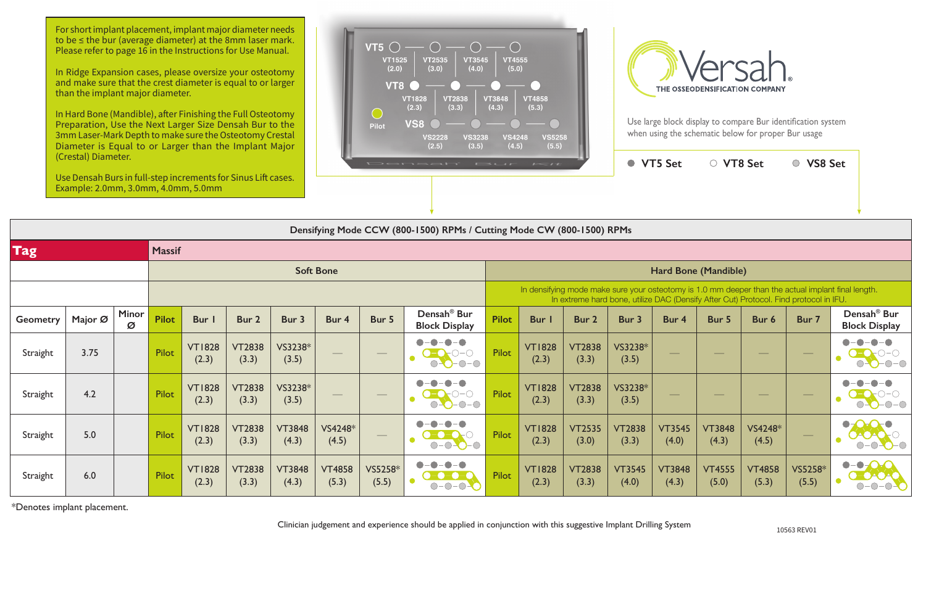Use large block display to compare Bur identification system when using the schematic below for proper Bur usage

|                  | $\sim$<br>Use Densah Burs in full-step increments for Sinus Lift cases. |               |              |                        |                        |                        | Densah' Bur<br>$I = I I$ |                                |                                                 |              |                                                                                                                                                                                             |                        | $\bullet$              | <b>VT5 Set</b>         | ○ VT8 Set              |                        | VS8 Set<br>$\bigcirc$ |                                                              |  |  |
|------------------|-------------------------------------------------------------------------|---------------|--------------|------------------------|------------------------|------------------------|--------------------------|--------------------------------|-------------------------------------------------|--------------|---------------------------------------------------------------------------------------------------------------------------------------------------------------------------------------------|------------------------|------------------------|------------------------|------------------------|------------------------|-----------------------|--------------------------------------------------------------|--|--|
|                  | Example: 2.0mm, 3.0mm, 4.0mm, 5.0mm                                     |               |              |                        |                        |                        |                          |                                |                                                 |              |                                                                                                                                                                                             |                        |                        |                        |                        |                        |                       |                                                              |  |  |
|                  | Densifying Mode CCW (800-1500) RPMs / Cutting Mode CW (800-1500) RPMs   |               |              |                        |                        |                        |                          |                                |                                                 |              |                                                                                                                                                                                             |                        |                        |                        |                        |                        |                       |                                                              |  |  |
| <b>Tag</b>       |                                                                         | <b>Massif</b> |              |                        |                        |                        |                          |                                |                                                 |              |                                                                                                                                                                                             |                        |                        |                        |                        |                        |                       |                                                              |  |  |
| <b>Soft Bone</b> |                                                                         |               |              |                        |                        |                        |                          |                                | Hard Bone (Mandible)                            |              |                                                                                                                                                                                             |                        |                        |                        |                        |                        |                       |                                                              |  |  |
|                  |                                                                         |               |              |                        |                        |                        |                          |                                |                                                 |              | In densifying mode make sure your osteotomy is 1.0 mm deeper than the actual implant final length.<br>In extreme hard bone, utilize DAC (Densify After Cut) Protocol. Find protocol in IFU. |                        |                        |                        |                        |                        |                       |                                                              |  |  |
| <b>Geometry</b>  | Major Ø                                                                 | Minor<br>Ø    | <b>Pilot</b> | Bur I                  | Bur 2                  | Bur 3                  | Bur 4                    | Bur 5                          | Densah <sup>®</sup> Bur<br><b>Block Display</b> | <b>Pilot</b> | <b>Bur</b>                                                                                                                                                                                  | Bur 2                  | Bur 3                  | Bur 4                  | Bur 5                  | Bur 6                  | Bur 7                 | Densah <sup>®</sup> Bur<br><b>Block Display</b>              |  |  |
| Straight         | 3.75                                                                    |               | Pilot        | <b>VT1828</b><br>(2.3) | <b>VT2838</b><br>(3.3) | VS3238*<br>(3.5)       |                          |                                | $\bigcirc$ -O-O-O<br>$O-O-O-O$                  | Pilot        | <b>VT1828</b><br>(2.3)                                                                                                                                                                      | <b>VT2838</b><br>(3.3) | VS3238*<br>(3.5)       |                        |                        |                        |                       | $O-O-O-O$                                                    |  |  |
| Straight         | 4.2                                                                     |               | Pilot        | <b>VT1828</b><br>(2.3) | <b>VT2838</b><br>(3.3) | VS3238*<br>(3.5)       |                          | $\frac{1}{2}$                  | $O-O-O-O$                                       | Pilot        | <b>VT1828</b><br>(2.3)                                                                                                                                                                      | <b>VT2838</b><br>(3.3) | VS3238*<br>(3.5)       |                        |                        |                        | $\hspace{0.05cm}$     | $\bigcirc$ - $\bigcirc$ - $\bigcirc$ - $\bigcirc$            |  |  |
| Straight         | 5.0                                                                     |               | Pilot        | <b>VT1828</b><br>(2.3) | <b>VT2838</b><br>(3.3) | <b>VT3848</b><br>(4.3) | VS4248*<br>(4.5)         | $\overbrace{\hspace{25mm}}^{}$ | -0-01<br>$-$ ( )<br>$O-O-O-O$                   | Pilot        | <b>VT1828</b><br>(2.3)                                                                                                                                                                      | <b>VT2535</b><br>(3.0) | <b>VT2838</b><br>(3.3) | <b>VT3545</b><br>(4.0) | <b>VT3848</b><br>(4.3) | VS4248*<br>(4.5)       | $\hspace{0.05cm}$     | $\bullet$<br>$\bullet$<br>$ \bigcirc$ $\bigcirc$ $ \bigcirc$ |  |  |
| Straight         | 6.0                                                                     |               | Pilot        | <b>VT1828</b><br>(2.3) | <b>VT2838</b><br>(3.3) | <b>VT3848</b><br>(4.3) | <b>VT4858</b><br>(5.3)   | VS5258*<br>(5.5)               | $\bullet$<br>$-O-O$<br>$\bigcirc$ -             | Pilot        | <b>VT1828</b><br>(2.3)                                                                                                                                                                      | <b>VT2838</b><br>(3.3) | <b>VT3545</b><br>(4.0) | <b>VT3848</b><br>(4.3) | <b>VT4555</b><br>(5.0) | <b>VT4858</b><br>(5.3) | VS5258*<br>(5.5)      | $\cdot$ $\bullet$<br>-0-0                                    |  |  |

\*Denotes implant placement.

10563 REV01

Clinician judgement and experience should be applied in conjunction with this suggestive Implant Drilling System

For short implant placement, implant major diameter needs to be ≤ the bur (average diameter) at the 8mm laser mark. Please refer to page 16 in the Instructions for Use Manual.

In Ridge Expansion cases, please oversize your osteotomy and make sure that the crest diameter is equal to or larger than the implant major diameter.

In Hard Bone (Mandible), after Finishing the Full Osteotomy Preparation, Use the Next Larger Size Densah Bur to the 3mm Laser-Mark Depth to make sure the Osteotomy Crestal Diameter is Equal to or Larger than the Implant Major (Crestal) Diameter.